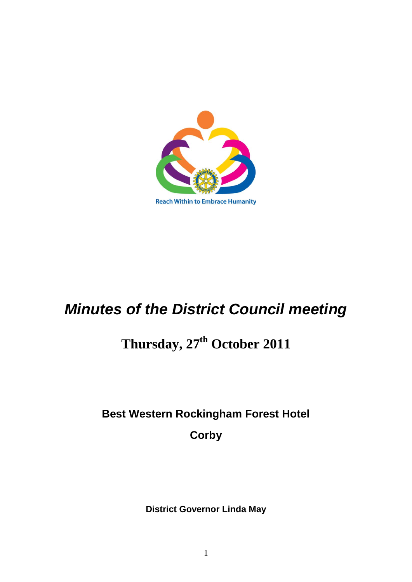

# *Minutes of the District Council meeting*

# **Thursday, 27th October 2011**

## **Best Western Rockingham Forest Hotel**

**Corby**

**District Governor Linda May**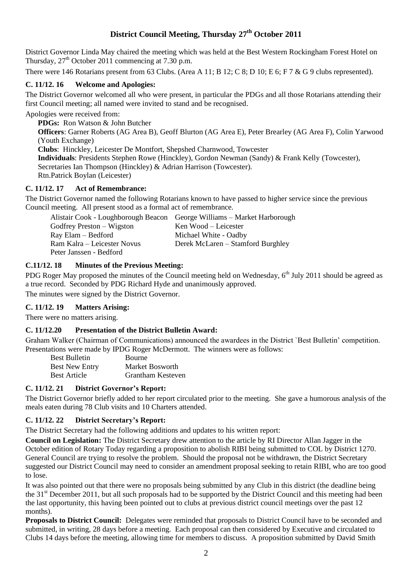### **District Council Meeting, Thursday 27th October 2011**

District Governor Linda May chaired the meeting which was held at the Best Western Rockingham Forest Hotel on Thursday,  $27<sup>th</sup>$  October 2011 commencing at 7.30 p.m.

There were 146 Rotarians present from 63 Clubs. (Area A 11; B 12; C 8; D 10; E 6; F 7 & G 9 clubs represented).

#### **C. 11/12. 16 Welcome and Apologies:**

The District Governor welcomed all who were present, in particular the PDGs and all those Rotarians attending their first Council meeting; all named were invited to stand and be recognised.

Apologies were received from:

**PDGs:** Ron Watson & John Butcher **Officers**: Garner Roberts (AG Area B), Geoff Blurton (AG Area E), Peter Brearley (AG Area F), Colin Yarwood (Youth Exchange) **Clubs**: Hinckley, Leicester De Montfort, Shepshed Charnwood, Towcester **Individuals**: Presidents Stephen Rowe (Hinckley), Gordon Newman (Sandy) & Frank Kelly (Towcester), Secretaries Ian Thompson (Hinckley) & Adrian Harrison (Towcester). Rtn.Patrick Boylan (Leicester)

#### **C. 11/12. 17 Act of Remembrance:**

The District Governor named the following Rotarians known to have passed to higher service since the previous Council meeting. All present stood as a formal act of remembrance.

|                             | Alistair Cook - Loughborough Beacon George Williams – Market Harborough |
|-----------------------------|-------------------------------------------------------------------------|
| Godfrey Preston – Wigston   | Ken Wood – Leicester                                                    |
| Ray Elam – Bedford          | Michael White - Oadby                                                   |
| Ram Kalra – Leicester Novus | Derek McLaren – Stamford Burghley                                       |
| Peter Janssen - Bedford     |                                                                         |

#### **C.11/12. 18 Minutes of the Previous Meeting:**

PDG Roger May proposed the minutes of the Council meeting held on Wednesday, 6<sup>th</sup> July 2011 should be agreed as a true record. Seconded by PDG Richard Hyde and unanimously approved.

The minutes were signed by the District Governor.

#### **C. 11/12. 19 Matters Arising:**

There were no matters arising.

#### **C. 11/12.20 Presentation of the District Bulletin Award:**

Graham Walker (Chairman of Communications) announced the awardees in the District `Best Bulletin" competition. Presentations were made by IPDG Roger McDermott. The winners were as follows:

| <b>Best Bulletin</b>  | Bourne            |
|-----------------------|-------------------|
| <b>Best New Entry</b> | Market Bosworth   |
| <b>Best Article</b>   | Grantham Kesteven |

#### **C. 11/12. 21 District Governor's Report:**

The District Governor briefly added to her report circulated prior to the meeting. She gave a humorous analysis of the meals eaten during 78 Club visits and 10 Charters attended.

#### **C. 11/12. 22 District Secretary's Report:**

The District Secretary had the following additions and updates to his written report:

**Council on Legislation:** The District Secretary drew attention to the article by RI Director Allan Jagger in the October edition of Rotary Today regarding a proposition to abolish RIBI being submitted to COL by District 1270. General Council are trying to resolve the problem. Should the proposal not be withdrawn, the District Secretary suggested our District Council may need to consider an amendment proposal seeking to retain RIBI, who are too good to lose.

It was also pointed out that there were no proposals being submitted by any Club in this district (the deadline being the  $31<sup>st</sup>$  December 2011, but all such proposals had to be supported by the District Council and this meeting had been the last opportunity, this having been pointed out to clubs at previous district council meetings over the past 12 months).

**Proposals to District Council:** Delegates were reminded that proposals to District Council have to be seconded and submitted, in writing, 28 days before a meeting. Each proposal can then considered by Executive and circulated to Clubs 14 days before the meeting, allowing time for members to discuss. A proposition submitted by David Smith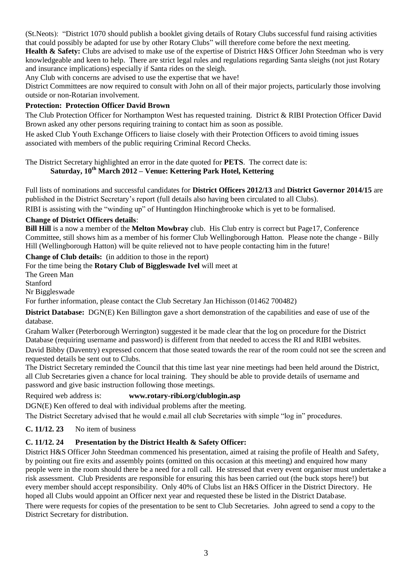(St.Neots): "District 1070 should publish a booklet giving details of Rotary Clubs successful fund raising activities that could possibly be adapted for use by other Rotary Clubs" will therefore come before the next meeting.

**Health & Safety:** Clubs are advised to make use of the expertise of District H&S Officer John Steedman who is very knowledgeable and keen to help. There are strict legal rules and regulations regarding Santa sleighs (not just Rotary and insurance implications) especially if Santa rides on the sleigh.

Any Club with concerns are advised to use the expertise that we have!

District Committees are now required to consult with John on all of their major projects, particularly those involving outside or non-Rotarian involvement.

#### **Protection: Protection Officer David Brown**

The Club Protection Officer for Northampton West has requested training. District & RIBI Protection Officer David Brown asked any other persons requiring training to contact him as soon as possible.

He asked Club Youth Exchange Officers to liaise closely with their Protection Officers to avoid timing issues associated with members of the public requiring Criminal Record Checks.

The District Secretary highlighted an error in the date quoted for **PETS**. The correct date is:

### **Saturday, 10th March 2012 – Venue: Kettering Park Hotel, Kettering**

Full lists of nominations and successful candidates for **District Officers 2012/13** and **District Governor 2014/15** are published in the District Secretary"s report (full details also having been circulated to all Clubs).

RIBI is assisting with the "winding up" of Huntingdon Hinchingbrooke which is yet to be formalised.

#### **Change of District Officers details**:

**Bill Hill** is a now a member of the **Melton Mowbray** club. His Club entry is correct but Page17, Conference Committee, still shows him as a member of his former Club Wellingborough Hatton. Please note the change - Billy Hill (Wellingborough Hatton) will be quite relieved not to have people contacting him in the future!

#### **Change of Club details:** (in addition to those in the report)

For the time being the **Rotary Club of Biggleswade Ivel** will meet at

The Green Man

Stanford

Nr Biggleswade

For further information, please contact the Club Secretary Jan Hichisson (01462 700482)

**District Database:** DGN(E) Ken Billington gave a short demonstration of the capabilities and ease of use of the database.

Graham Walker (Peterborough Werrington) suggested it be made clear that the log on procedure for the District Database (requiring username and password) is different from that needed to access the RI and RIBI websites.

David Bibby (Daventry) expressed concern that those seated towards the rear of the room could not see the screen and requested details be sent out to Clubs.

The District Secretary reminded the Council that this time last year nine meetings had been held around the District, all Club Secretaries given a chance for local training. They should be able to provide details of username and password and give basic instruction following those meetings.

#### Required web address is: **www.rotary-ribi.org/clublogin.asp**

DGN(E) Ken offered to deal with individual problems after the meeting.

The District Secretary advised that he would e.mail all club Secretaries with simple "log in" procedures.

#### **C. 11/12. 23** No item of business

#### **C. 11/12. 24 Presentation by the District Health & Safety Officer:**

District H&S Officer John Steedman commenced his presentation, aimed at raising the profile of Health and Safety, by pointing out fire exits and assembly points (omitted on this occasion at this meeting) and enquired how many people were in the room should there be a need for a roll call. He stressed that every event organiser must undertake a risk assessment. Club Presidents are responsible for ensuring this has been carried out (the buck stops here!) but every member should accept responsibility. Only 40% of Clubs list an H&S Officer in the District Directory. He hoped all Clubs would appoint an Officer next year and requested these be listed in the District Database. There were requests for copies of the presentation to be sent to Club Secretaries. John agreed to send a copy to the District Secretary for distribution.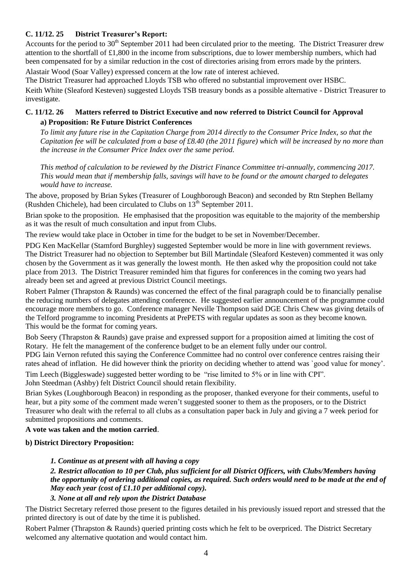#### **C. 11/12. 25 District Treasurer's Report:**

Accounts for the period to 30<sup>th</sup> September 2011 had been circulated prior to the meeting. The District Treasurer drew attention to the shortfall of £1,800 in the income from subscriptions, due to lower membership numbers, which had been compensated for by a similar reduction in the cost of directories arising from errors made by the printers.

Alastair Wood (Soar Valley) expressed concern at the low rate of interest achieved.

The District Treasurer had approached Lloyds TSB who offered no substantial improvement over HSBC. Keith White (Sleaford Kesteven) suggested Lloyds TSB treasury bonds as a possible alternative - District Treasurer to investigate.

#### **C. 11/12. 26 Matters referred to District Executive and now referred to District Council for Approval a) Proposition: Re Future District Conferences**

*To limit any future rise in the Capitation Charge from 2014 directly to the Consumer Price Index, so that the Capitation fee will be calculated from a base of £8.40 (the 2011 figure) which will be increased by no more than the increase in the Consumer Price Index over the same period.* 

*This method of calculation to be reviewed by the District Finance Committee tri-annually, commencing 2017. This would mean that if membership falls, savings will have to be found or the amount charged to delegates would have to increase.* 

The above, proposed by Brian Sykes (Treasurer of Loughborough Beacon) and seconded by Rtn Stephen Bellamy (Rushden Chichele), had been circulated to Clubs on  $13<sup>th</sup>$  September 2011.

Brian spoke to the proposition. He emphasised that the proposition was equitable to the majority of the membership as it was the result of much consultation and input from Clubs.

The review would take place in October in time for the budget to be set in November/December.

PDG Ken MacKellar (Stamford Burghley) suggested September would be more in line with government reviews. The District Treasurer had no objection to September but Bill Martindale (Sleaford Kesteven) commented it was only chosen by the Government as it was generally the lowest month. He then asked why the proposition could not take place from 2013. The District Treasurer reminded him that figures for conferences in the coming two years had already been set and agreed at previous District Council meetings.

Robert Palmer (Thrapston & Raunds) was concerned the effect of the final paragraph could be to financially penalise the reducing numbers of delegates attending conference. He suggested earlier announcement of the programme could encourage more members to go. Conference manager Neville Thompson said DGE Chris Chew was giving details of the Telford programme to incoming Presidents at PrePETS with regular updates as soon as they become known. This would be the format for coming years.

Bob Seery (Thrapston & Raunds) gave praise and expressed support for a proposition aimed at limiting the cost of Rotary. He felt the management of the conference budget to be an element fully under our control.

PDG Iain Vernon refuted this saying the Conference Committee had no control over conference centres raising their rates ahead of inflation. He did however think the priority on deciding whether to attend was `good value for money'.

Tim Leech (Biggleswade) suggested better wording to be "rise limited to 5% or in line with CPI".

John Steedman (Ashby) felt District Council should retain flexibility.

Brian Sykes (Loughborough Beacon) in responding as the proposer, thanked everyone for their comments, useful to hear, but a pity some of the comment made weren"t suggested sooner to them as the proposers, or to the District Treasurer who dealt with the referral to all clubs as a consultation paper back in July and giving a 7 week period for submitted propositions and comments.

#### **A vote was taken and the motion carried**.

#### **b) District Directory Proposition:**

#### *1. Continue as at present with all having a copy*

#### *2. Restrict allocation to 10 per Club, plus sufficient for all District Officers, with Clubs/Members having the opportunity of ordering additional copies, as required. Such orders would need to be made at the end of May each year (cost of £1.10 per additional copy).*

#### *3. None at all and rely upon the District Database*

The District Secretary referred those present to the figures detailed in his previously issued report and stressed that the printed directory is out of date by the time it is published.

Robert Palmer (Thrapston & Raunds) queried printing costs which he felt to be overpriced. The District Secretary welcomed any alternative quotation and would contact him.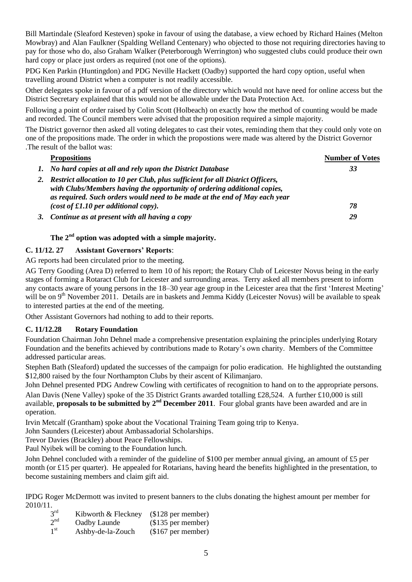Bill Martindale (Sleaford Kesteven) spoke in favour of using the database, a view echoed by Richard Haines (Melton Mowbray) and Alan Faulkner (Spalding Welland Centenary) who objected to those not requiring directories having to pay for those who do, also Graham Walker (Peterborough Werrington) who suggested clubs could produce their own hard copy or place just orders as required (not one of the options).

PDG Ken Parkin (Huntingdon) and PDG Neville Hackett (Oadby) supported the hard copy option, useful when travelling around District when a computer is not readily accessible.

Other delegates spoke in favour of a pdf version of the directory which would not have need for online access but the District Secretary explained that this would not be allowable under the Data Protection Act.

Following a point of order raised by Colin Scott (Holbeach) on exactly how the method of counting would be made and recorded. The Council members were advised that the proposition required a simple majority.

The District governor then asked all voting delegates to cast their votes, reminding them that they could only vote on one of the propositions made. The order in which the propostions were made was altered by the District Governor .The result of the ballot was:

| <b>Propositions</b>                                                                                                                                                                                                                         | <b>Number of Votes</b> |
|---------------------------------------------------------------------------------------------------------------------------------------------------------------------------------------------------------------------------------------------|------------------------|
| 1. No hard copies at all and rely upon the District Database                                                                                                                                                                                | 33                     |
| 2. Restrict allocation to 10 per Club, plus sufficient for all District Officers,<br>with Clubs/Members having the opportunity of ordering additional copies,<br>as required. Such orders would need to be made at the end of May each year |                        |
| (cost of $\pounds1.10$ per additional copy).                                                                                                                                                                                                | 78                     |
| 3. Continue as at present with all having a copy                                                                                                                                                                                            | 29                     |

#### **The 2nd option was adopted with a simple majority.**

#### **C. 11/12. 27 Assistant Governors' Reports**:

AG reports had been circulated prior to the meeting.

AG Terry Gooding (Area D) referred to Item 10 of his report; the Rotary Club of Leicester Novus being in the early stages of forming a Rotaract Club for Leicester and surrounding areas. Terry asked all members present to inform any contacts aware of young persons in the 18–30 year age group in the Leicester area that the first "Interest Meeting" will be on 9<sup>th</sup> November 2011. Details are in baskets and Jemma Kiddy (Leicester Novus) will be available to speak to interested parties at the end of the meeting.

Other Assistant Governors had nothing to add to their reports.

#### **C. 11/12.28 Rotary Foundation**

Foundation Chairman John Dehnel made a comprehensive presentation explaining the principles underlying Rotary Foundation and the benefits achieved by contributions made to Rotary"s own charity. Members of the Committee addressed particular areas.

Stephen Bath (Sleaford) updated the successes of the campaign for polio eradication. He highlighted the outstanding \$12,800 raised by the four Northampton Clubs by their ascent of Kilimanjaro.

John Dehnel presented PDG Andrew Cowling with certificates of recognition to hand on to the appropriate persons. Alan Davis (Nene Valley) spoke of the 35 District Grants awarded totalling £28,524. A further £10,000 is still available, **proposals to be submitted by 2nd December 2011**. Four global grants have been awarded and are in operation.

Irvin Metcalf (Grantham) spoke about the Vocational Training Team going trip to Kenya.

John Saunders (Leicester) about Ambassadorial Scholarships.

Trevor Davies (Brackley) about Peace Fellowships.

Paul Nyibek will be coming to the Foundation lunch.

John Dehnel concluded with a reminder of the guideline of \$100 per member annual giving, an amount of £5 per month (or £15 per quarter). He appealed for Rotarians, having heard the benefits highlighted in the presentation, to become sustaining members and claim gift aid.

IPDG Roger McDermott was invited to present banners to the clubs donating the highest amount per member for 2010/11.

- $3<sup>rd</sup>$ Kibworth  $& Fleckney$  (\$128 per member)
- $2<sup>nd</sup>$ Oadby Launde (\$135 per member)
- $1<sup>st</sup>$ Ashby-de-la-Zouch (\$167 per member)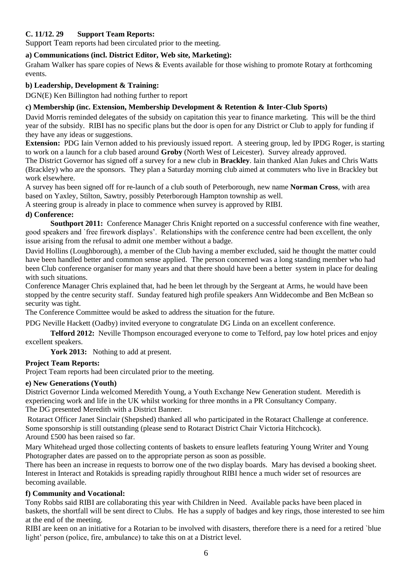#### **C. 11/12. 29 Support Team Reports:**

Support Team reports had been circulated prior to the meeting.

#### **a) Communications (incl. District Editor, Web site, Marketing):**

Graham Walker has spare copies of News & Events available for those wishing to promote Rotary at forthcoming events.

#### **b) Leadership, Development & Training:**

DGN(E) Ken Billington had nothing further to report

#### **c) Membership (inc. Extension, Membership Development & Retention & Inter-Club Sports)**

David Morris reminded delegates of the subsidy on capitation this year to finance marketing. This will be the third year of the subsidy. RIBI has no specific plans but the door is open for any District or Club to apply for funding if they have any ideas or suggestions.

**Extension:** PDG Iain Vernon added to his previously issued report. A steering group, led by IPDG Roger, is starting to work on a launch for a club based around **Groby** (North West of Leicester). Survey already approved.

The District Governor has signed off a survey for a new club in **Brackley**. Iain thanked Alan Jukes and Chris Watts (Brackley) who are the sponsors. They plan a Saturday morning club aimed at commuters who live in Brackley but work elsewhere.

A survey has been signed off for re-launch of a club south of Peterborough, new name **Norman Cross**, with area based on Yaxley, Stilton, Sawtry, possibly Peterborough Hampton township as well.

A steering group is already in place to commence when survey is approved by RIBI.

#### **d) Conference:**

**Southport 2011:** Conference Manager Chris Knight reported on a successful conference with fine weather, good speakers and `free firework displays". Relationships with the conference centre had been excellent, the only issue arising from the refusal to admit one member without a badge.

David Hollins (Loughborough), a member of the Club having a member excluded, said he thought the matter could have been handled better and common sense applied. The person concerned was a long standing member who had been Club conference organiser for many years and that there should have been a better system in place for dealing with such situations.

Conference Manager Chris explained that, had he been let through by the Sergeant at Arms, he would have been stopped by the centre security staff. Sunday featured high profile speakers Ann Widdecombe and Ben McBean so security was tight.

The Conference Committee would be asked to address the situation for the future.

PDG Neville Hackett (Oadby) invited everyone to congratulate DG Linda on an excellent conference.

**Telford 2012:** Neville Thompson encouraged everyone to come to Telford, pay low hotel prices and enjoy excellent speakers.

York 2013: Nothing to add at present.

#### **Project Team Reports:**

Project Team reports had been circulated prior to the meeting.

#### **e) New Generations (Youth)**

District Governor Linda welcomed Meredith Young, a Youth Exchange New Generation student. Meredith is experiencing work and life in the UK whilst working for three months in a PR Consultancy Company. The DG presented Meredith with a District Banner.

Rotaract Officer Janet Sinclair (Shepshed) thanked all who participated in the Rotaract Challenge at conference. Some sponsorship is still outstanding (please send to Rotaract District Chair Victoria Hitchcock). Around £500 has been raised so far.

Mary Whitehead urged those collecting contents of baskets to ensure leaflets featuring Young Writer and Young Photographer dates are passed on to the appropriate person as soon as possible.

There has been an increase in requests to borrow one of the two display boards. Mary has devised a booking sheet. Interest in Interact and Rotakids is spreading rapidly throughout RIBI hence a much wider set of resources are becoming available.

#### **f) Community and Vocational:**

Tony Robbs said RIBI are collaborating this year with Children in Need. Available packs have been placed in baskets, the shortfall will be sent direct to Clubs. He has a supply of badges and key rings, those interested to see him at the end of the meeting.

RIBI are keen on an initiative for a Rotarian to be involved with disasters, therefore there is a need for a retired `blue light' person (police, fire, ambulance) to take this on at a District level.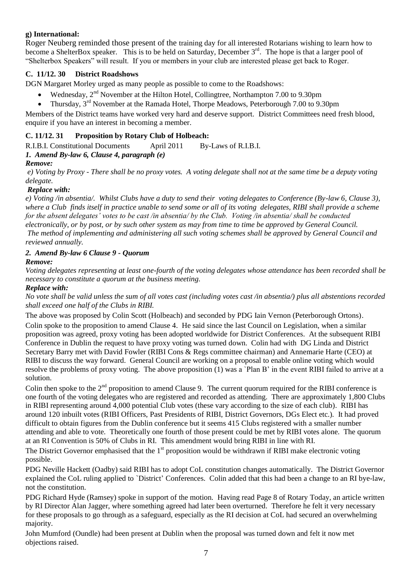#### **g) International:**

Roger Neuberg reminded those present of the training day for all interested Rotarians wishing to learn how to become a ShelterBox speaker. This is to be held on Saturday, December  $3<sup>rd</sup>$ . The hope is that a larger pool of "Shelterbox Speakers" will result. If you or members in your club are interested please get back to Roger.

#### **C. 11/12. 30 District Roadshows**

DGN Margaret Morley urged as many people as possible to come to the Roadshows:

- Wednesday, 2<sup>nd</sup> November at the Hilton Hotel, Collingtree, Northampton 7.00 to 9.30pm
- Thursday, 3rd November at the Ramada Hotel, Thorpe Meadows, Peterborough 7.00 to 9.30pm

Members of the District teams have worked very hard and deserve support. District Committees need fresh blood, enquire if you have an interest in becoming a member.

#### **C. 11/12. 31 Proposition by Rotary Club of Holbeach:**

R.I.B.I. Constitutional Documents April 2011 By-Laws of R.I.B.I.

#### *1. Amend By-law 6, Clause 4, paragraph (e)*

#### *Remove:*

*e) Voting by Proxy - There shall be no proxy votes. A voting delegate shall not at the same time be a deputy voting delegate.*

#### *Replace with:*

*e) Voting /in absentia/. Whilst Clubs have a duty to send their voting delegates to Conference (By-law 6, Clause 3), where a Club finds itself in practice unable to send some or all of its voting delegates, RIBI shall provide a scheme for the absent delegates' votes to be cast /in absentia/ by the Club. Voting /in absentia/ shall be conducted electronically, or by post, or by such other system as may from time to time be approved by General Council. The method of implementing and administering all such voting schemes shall be approved by General Council and reviewed annually.*

#### *2. Amend By-law 6 Clause 9 - Quorum*

*Remove:*

*Voting delegates representing at least one-fourth of the voting delegates whose attendance has been recorded shall be necessary to constitute a quorum at the business meeting.*

#### *Replace with:*

*No vote shall be valid unless the sum of all votes cast (including votes cast /in absentia/) plus all abstentions recorded shall exceed one half of the Clubs in RIBI.*

The above was proposed by Colin Scott (Holbeach) and seconded by PDG Iain Vernon (Peterborough Ortons). Colin spoke to the proposition to amend Clause 4. He said since the last Council on Legislation, when a similar proposition was agreed, proxy voting has been adopted worldwide for District Conferences. At the subsequent RIBI Conference in Dublin the request to have proxy voting was turned down. Colin had with DG Linda and District Secretary Barry met with David Fowler (RIBI Cons & Regs committee chairman) and Annemarie Harte (CEO) at RIBI to discuss the way forward. General Council are working on a proposal to enable online voting which would resolve the problems of proxy voting. The above proposition (1) was a `Plan B" in the event RIBI failed to arrive at a solution.

Colin then spoke to the  $2<sup>nd</sup>$  proposition to amend Clause 9. The current quorum required for the RIBI conference is one fourth of the voting delegates who are registered and recorded as attending. There are approximately 1,800 Clubs in RIBI representing around 4,000 potential Club votes (these vary according to the size of each club). RIBI has around 120 inbuilt votes (RIBI Officers, Past Presidents of RIBI, District Governors, DGs Elect etc.). It had proved difficult to obtain figures from the Dublin conference but it seems 415 Clubs registered with a smaller number attending and able to vote. Theoretically one fourth of those present could be met by RIBI votes alone. The quorum at an RI Convention is 50% of Clubs in RI. This amendment would bring RIBI in line with RI.

The District Governor emphasised that the  $1<sup>st</sup>$  proposition would be withdrawn if RIBI make electronic voting possible.

PDG Neville Hackett (Oadby) said RIBI has to adopt CoL constitution changes automatically. The District Governor explained the CoL ruling applied to `District" Conferences. Colin added that this had been a change to an RI bye-law, not the constitution.

PDG Richard Hyde (Ramsey) spoke in support of the motion. Having read Page 8 of Rotary Today, an article written by RI Director Alan Jagger, where something agreed had later been overturned. Therefore he felt it very necessary for these proposals to go through as a safeguard, especially as the RI decision at CoL had secured an overwhelming majority.

John Mumford (Oundle) had been present at Dublin when the proposal was turned down and felt it now met objections raised.